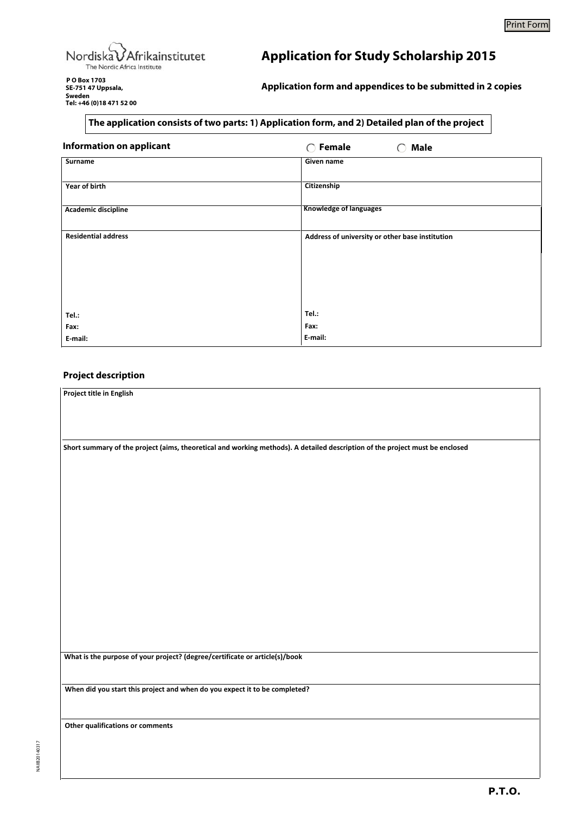

**Application for Study Scholarship 2015**

**P O Box 1703 SE-751 47 Uppsala, Sweden Tel: +46 (0)18 471 52 00**

**Application form and appendices to be submitted in 2 copies**

## **The application consists of two parts: 1) Application form, and 2) Detailed plan of the project**

| <b>Information on applicant</b> | Female<br><b>Male</b><br>∩<br>( )               |
|---------------------------------|-------------------------------------------------|
| Surname                         | Given name                                      |
| Year of birth                   | Citizenship                                     |
| Academic discipline             | <b>Knowledge of languages</b>                   |
| <b>Residential address</b>      | Address of university or other base institution |
|                                 |                                                 |
|                                 |                                                 |
|                                 |                                                 |
| Tel.:                           | Tel.:                                           |
| Fax:                            | Fax:                                            |
| E-mail:                         | E-mail:                                         |

## **Project description**

| Project title in English                                                                                                     |  |
|------------------------------------------------------------------------------------------------------------------------------|--|
|                                                                                                                              |  |
|                                                                                                                              |  |
|                                                                                                                              |  |
| Short summary of the project (aims, theoretical and working methods). A detailed description of the project must be enclosed |  |
|                                                                                                                              |  |
|                                                                                                                              |  |
|                                                                                                                              |  |
|                                                                                                                              |  |
|                                                                                                                              |  |
|                                                                                                                              |  |
|                                                                                                                              |  |
|                                                                                                                              |  |
|                                                                                                                              |  |
|                                                                                                                              |  |
|                                                                                                                              |  |
|                                                                                                                              |  |
|                                                                                                                              |  |
|                                                                                                                              |  |
|                                                                                                                              |  |
| What is the purpose of your project? (degree/certificate or article(s)/book                                                  |  |
|                                                                                                                              |  |
| When did you start this project and when do you expect it to be completed?                                                   |  |
|                                                                                                                              |  |
|                                                                                                                              |  |
| Other qualifications or comments                                                                                             |  |
|                                                                                                                              |  |
|                                                                                                                              |  |